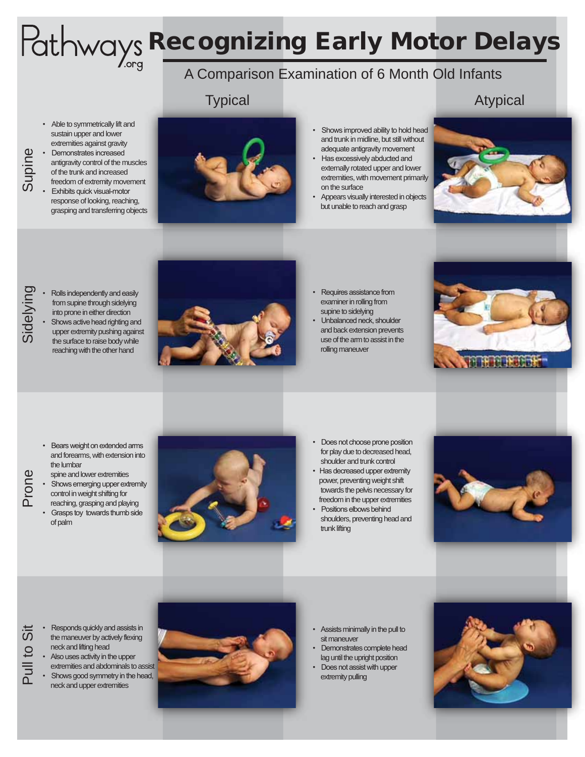# Pathways Recognizing Early Motor Delays

## A Comparison Examination of 6 Month Old Infants

### **Typical**

#### Atypical

• Able to symmetrically lift and sustain upper and lower extremities against gravity

Supine

- Demonstrates increased antigravity control of the muscles of the trunk and increased freedom of extremity movement **Exhibits quick visual-motor**
- response of looking, reaching, grasping and transferring objects



- Shows improved ability to hold head and trunk in midline, but still without adequate antigravity movement
- Has excessively abducted and externally rotated upper and lower extremities, with movement primarily on the surface
- Appears visually interested in objects but unable to reach and grasp



- Sindependently and easily<br>
from supine through sidelying<br>
into prone in either direction<br>
Shows active head righting and<br>
upper extremity pushing again<br>
the surface to raise body while from supine through sidelying into prone in either direction Shows active head righting and
	- upper extremity pushing against the surface to raise body while reaching with the other hand



- Requires assistance from examiner in rolling from supine to sidelying
- Unbalanced neck, shoulder and back extension prevents use of the arm to assist in the rolling maneuver



- Bears weight on extended arms and forearms, with extension into the lumbar
- Prone
- Shows emerging upper extremity control in weight shifting for reaching, grasping and playing

spine and lower extremities

• Grasps toy towards thumb side of palm



- Does not choose prone position for play due to decreased head, shoulder and trunk control
- Has decreased upper extremity power, preventing weight shift towards the pelvis necessary for freedom in the upper extremities
- Positions elbows behind shoulders, preventing head and trunk lifting



- Responds quickly and assists in<br>the maneuver by actively flexing<br>neck and lifting head<br>• Also uses activity in the upper<br>extremities and abdominals to as<br>• Shows good symmetry in the head the maneuver by actively flexing neck and lifting head
	- Also uses activity in the upper extremities and abdominals to assist Shows good symmetry in the head, neck and upper extremities



- Assists minimally in the pull to sit maneuver
- Demonstrates complete head lag until the upright position
- Does not assist with upper extremity pulling